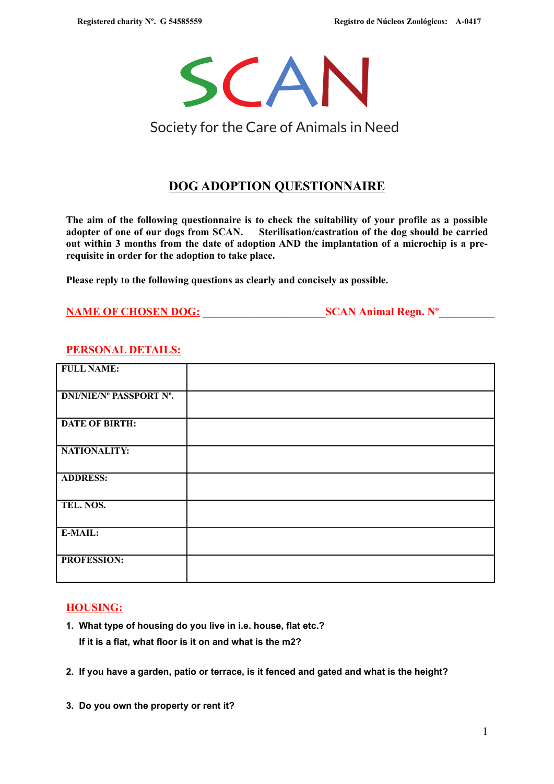

# Society for the Care of Animals in Need

## **DOG ADOPTION QUESTIONNAIRE**

**The aim of the following questionnaire is to check the suitability of your profile as a possible adopter of one of our dogs from SCAN. Sterilisation/castration of the dog should be carried out within 3 months from the date of adoption AND the implantation of a microchip is a prerequisite in order for the adoption to take place.**

**Please reply to the following questions as clearly and concisely as possible.** 

| <b>NAME OF CHOSEN DOG:</b> | <b>SCAN Animal Regn. N°</b> |
|----------------------------|-----------------------------|
|----------------------------|-----------------------------|

### **PERSONAL DETAILS:**

| <b>FULL NAME:</b>              |  |
|--------------------------------|--|
| <b>DNI/NIE/Nº PASSPORT Nº.</b> |  |
| <b>DATE OF BIRTH:</b>          |  |
| NATIONALITY:                   |  |
| <b>ADDRESS:</b>                |  |
| TEL. NOS.                      |  |
| E-MAIL:                        |  |
| PROFESSION:                    |  |

#### **HOUSING:**

- **1. What type of housing do you live in i.e. house, flat etc.? If it is a flat, what floor is it on and what is the m2?**
- **2. If you have a garden, patio or terrace, is it fenced and gated and what is the height?**
- **3. Do you own the property or rent it?**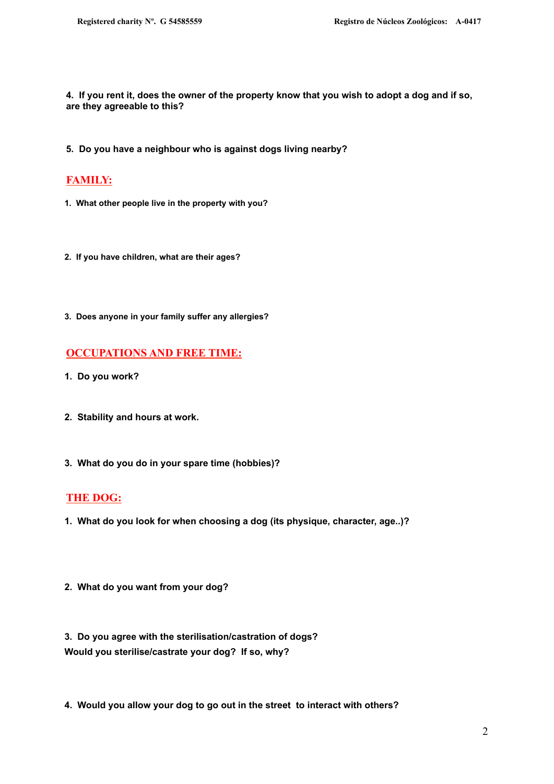**4. If you rent it, does the owner of the property know that you wish to adopt a dog and if so, are they agreeable to this?**

**5. Do you have a neighbour who is against dogs living nearby?** 

### **FAMILY:**

- **1. What other people live in the property with you?**
- **2. If you have children, what are their ages?**
- **3. Does anyone in your family suffer any allergies?**

#### **OCCUPATIONS AND FREE TIME:**

- **1. Do you work?**
- **2. Stability and hours at work.**
- **3. What do you do in your spare time (hobbies)?**

#### **THE DOG:**

- **1. What do you look for when choosing a dog (its physique, character, age..)?**
- **2. What do you want from your dog?**

**3. Do you agree with the sterilisation/castration of dogs? Would you sterilise/castrate your dog? If so, why?**

**4. Would you allow your dog to go out in the street to interact with others?**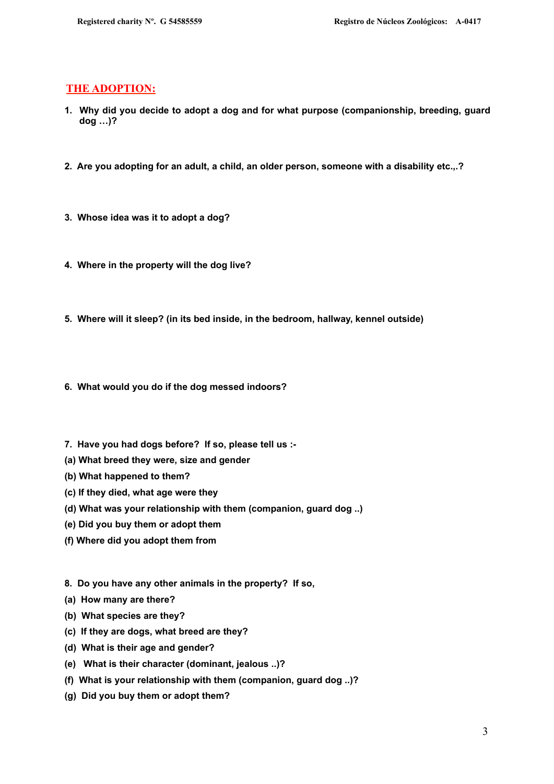#### **THE ADOPTION:**

- **1. Why did you decide to adopt a dog and for what purpose (companionship, breeding, guard dog …)?**
- **2. Are you adopting for an adult, a child, an older person, someone with a disability etc.,.?**
- **3. Whose idea was it to adopt a dog?**
- **4. Where in the property will the dog live?**
- **5. Where will it sleep? (in its bed inside, in the bedroom, hallway, kennel outside)**
- **6. What would you do if the dog messed indoors?**
- **7. Have you had dogs before? If so, please tell us :-**
- **(a) What breed they were, size and gender**
- **(b) What happened to them?**
- **(c) If they died, what age were they**
- **(d) What was your relationship with them (companion, guard dog ..)**
- **(e) Did you buy them or adopt them**
- **(f) Where did you adopt them from**
- **8. Do you have any other animals in the property? If so,**
- **(a) How many are there?**
- **(b) What species are they?**
- **(c) If they are dogs, what breed are they?**
- **(d) What is their age and gender?**
- **(e) What is their character (dominant, jealous ..)?**
- **(f) What is your relationship with them (companion, guard dog ..)?**
- **(g) Did you buy them or adopt them?**